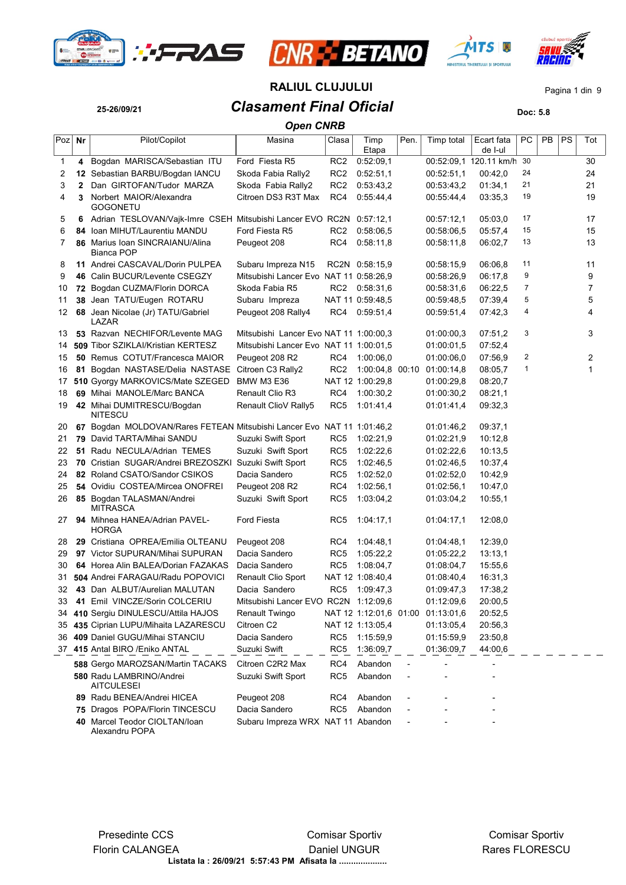







**25-26/09/21** *Clasament Final Oficial* **Doc: 5.8 RALIUL CLUJULUI** Pagina 1 din 9

|     |              |                                                                        | <b>Open CNRB</b>                       |                 |                        |      |            |                        |    |    |    |     |
|-----|--------------|------------------------------------------------------------------------|----------------------------------------|-----------------|------------------------|------|------------|------------------------|----|----|----|-----|
| Poz | Nr           | Pilot/Copilot                                                          | Masina                                 | Clasa           | Timp<br>Etapa          | Pen. | Timp total | Ecart fata<br>de I-ul  | РC | PB | PS | Tot |
| 1   | 4            | Bogdan MARISCA/Sebastian ITU                                           | Ford Fiesta R5                         | RC <sub>2</sub> | 0:52:09,1              |      |            | 00:52:09,1 120.11 km/h | 30 |    |    | 30  |
| 2   |              | 12 Sebastian BARBU/Bogdan IANCU                                        | Skoda Fabia Rally2                     | RC <sub>2</sub> | 0:52:51,1              |      | 00:52:51.1 | 00:42,0                | 24 |    |    | 24  |
| 3   | $\mathbf{2}$ | Dan GIRTOFAN/Tudor MARZA                                               | Skoda Fabia Rally2                     | RC <sub>2</sub> | 0.53.43.2              |      | 00:53:43,2 | 01:34,1                | 21 |    |    | 21  |
| 4   | 3            | Norbert MAIOR/Alexandra<br><b>GOGONETU</b>                             | Citroen DS3 R3T Max                    | RC4             | 0.55.44,4              |      | 00:55:44,4 | 03:35,3                | 19 |    |    | 19  |
| 5   | 6            | Adrian TESLOVAN/Vajk-Imre CSEH Mitsubishi Lancer EVO RC2N 0:57:12,1    |                                        |                 |                        |      | 00:57:12,1 | 05:03,0                | 17 |    |    | 17  |
| 6   |              | 84 Ioan MIHUT/Laurentiu MANDU                                          | Ford Fiesta R5                         | RC2             | 0.58.06, 5             |      | 00:58:06,5 | 05.57,4                | 15 |    |    | 15  |
| 7   |              | 86 Marius Ioan SINCRAIANU/Alina<br>Bianca POP                          | Peugeot 208                            | RC4             | 0:58:11,8              |      | 00:58:11,8 | 06:02,7                | 13 |    |    | 13  |
| 8   |              | 11 Andrei CASCAVAL/Dorin PULPEA                                        | Subaru Impreza N15                     |                 | RC2N 0:58:15,9         |      | 00:58:15,9 | 06:06,8                | 11 |    |    | 11  |
| 9   |              | 46 Calin BUCUR/Levente CSEGZY                                          | Mitsubishi Lancer Evo NAT 11 0:58:26,9 |                 |                        |      | 00:58:26,9 | 06:17,8                | 9  |    |    | 9   |
| 10  |              | 72 Bogdan CUZMA/Florin DORCA                                           | Skoda Fabia R5                         | RC2             | 0.58.31,6              |      | 00:58:31,6 | 06:22,5                | 7  |    |    | 7   |
| 11  | 38           | Jean TATU/Eugen ROTARU                                                 | Subaru Impreza                         |                 | NAT 11 0:59:48,5       |      | 00:59:48,5 | 07:39,4                | 5  |    |    | 5   |
| 12  |              | 68 Jean Nicolae (Jr) TATU/Gabriel<br>LAZAR                             | Peugeot 208 Rally4                     | RC4             | 0.59.51,4              |      | 00:59:51,4 | 07:42,3                | 4  |    |    | 4   |
| 13  |              | 53 Razvan NECHIFOR/Levente MAG                                         | Mitsubishi Lancer Evo NAT 11 1:00:00,3 |                 |                        |      | 01:00:00,3 | 07:51,2                | 3  |    |    | 3   |
| 14  |              | 509 Tibor SZIKLAI/Kristian KERTESZ                                     | Mitsubishi Lancer Evo NAT 11 1:00:01,5 |                 |                        |      | 01:00:01,5 | 07:52,4                |    |    |    |     |
| 15  |              | <b>50 Remus COTUT/Francesca MAIOR</b>                                  | Peugeot 208 R2                         | RC4             | 1:00:06.0              |      | 01:00:06,0 | 07.56,9                | 2  |    |    | 2   |
| 16  |              | 81 Bogdan NASTASE/Delia NASTASE                                        | Citroen C3 Rally2                      | RC <sub>2</sub> | 1:00:04,8 00:10        |      | 01:00:14,8 | 08:05.7                | 1  |    |    | 1   |
| 17  |              | 510 Gyorgy MARKOVICS/Mate SZEGED                                       | <b>BMW M3 E36</b>                      |                 | NAT 12 1:00:29,8       |      | 01:00:29,8 | 08:20,7                |    |    |    |     |
| 18  |              | 69 Mihai MANOLE/Marc BANCA                                             | <b>Renault Clio R3</b>                 | RC4             | 1:00:30,2              |      | 01:00:30,2 | 08:21.1                |    |    |    |     |
| 19  |              | 42 Mihai DUMITRESCU/Bogdan<br><b>NITESCU</b>                           | Renault ClioV Rally5                   | RC <sub>5</sub> | 1:01:41,4              |      | 01:01:41,4 | 09:32,3                |    |    |    |     |
| 20  |              | 67 Bogdan MOLDOVAN/Rares FETEAN Mitsubishi Lancer Evo NAT 11 1:01:46,2 |                                        |                 |                        |      | 01:01:46,2 | 09:37,1                |    |    |    |     |
| 21  |              | 79 David TARTA/Mihai SANDU                                             | Suzuki Swift Sport                     | RC5             | 1:02:21,9              |      | 01:02:21,9 | 10:12,8                |    |    |    |     |
| 22  | 51           | Radu NECULA/Adrian TEMES                                               | Suzuki Swift Sport                     | RC5             | 1:02:22,6              |      | 01:02:22,6 | 10:13,5                |    |    |    |     |
| 23  |              | 70 Cristian SUGAR/Andrei BREZOSZKI Suzuki Swift Sport                  |                                        | RC <sub>5</sub> | 1:02:46,5              |      | 01:02:46,5 | 10:37,4                |    |    |    |     |
| 24  |              | 82 Roland CSATO/Sandor CSIKOS                                          | Dacia Sandero                          | RC <sub>5</sub> | 1:02:52,0              |      | 01:02:52,0 | 10:42,9                |    |    |    |     |
| 25  |              | 54 Ovidiu COSTEA/Mircea ONOFREI                                        | Peugeot 208 R2                         | RC4             | 1:02:56,1              |      | 01:02:56,1 | 10:47,0                |    |    |    |     |
| 26  |              | 85 Bogdan TALASMAN/Andrei<br><b>MITRASCA</b>                           | Suzuki Swift Sport                     | RC5             | 1:03:04,2              |      | 01:03:04,2 | 10:55,1                |    |    |    |     |
| 27  |              | <b>94</b> Mihnea HANEA/Adrian PAVEL-<br><b>HORGA</b>                   | Ford Fiesta                            | RC5             | 1.04:17,1              |      | 01:04:17,1 | 12:08,0                |    |    |    |     |
| 28  |              | 29 Cristiana OPREA/Emilia OLTEANU                                      | Peugeot 208                            | RC4             | 1.04:48,1              |      | 01:04:48,1 | 12:39,0                |    |    |    |     |
| 29  |              | 97 Victor SUPURAN/Mihai SUPURAN                                        | Dacia Sandero                          | RC5             | 1:05:22,2              |      | 01:05:22,2 | 13:13,1                |    |    |    |     |
| 30  |              | 64 Horea Alin BALEA/Dorian FAZAKAS                                     | Dacia Sandero                          | RC <sub>5</sub> | 1:08:04,7              |      | 01:08:04,7 | 15:55,6                |    |    |    |     |
| 31  |              | 504 Andrei FARAGAU/Radu POPOVICI                                       | <b>Renault Clio Sport</b>              |                 | NAT 12 1:08:40,4       |      | 01:08:40,4 | 16:31,3                |    |    |    |     |
|     |              | 32 43 Dan ALBUT/Aurelian MALUTAN                                       | Dacia Sandero                          |                 | RC5 1:09:47,3          |      | 01:09:47,3 | 17:38,2                |    |    |    |     |
| 33  |              | 41 Emil VINCZE/Sorin COLCERIU                                          | Mitsubishi Lancer EVO RC2N 1:12:09,6   |                 |                        |      | 01:12:09,6 | 20:00,5                |    |    |    |     |
| 34  |              | 410 Sergiu DINULESCU/Attila HAJOS                                      | Renault Twingo                         |                 | NAT 12 1:12:01,6 01:00 |      | 01:13:01,6 | 20:52,5                |    |    |    |     |
| 35  |              | 435 Ciprian LUPU/Mihaita LAZARESCU                                     | Citroen C2                             |                 | NAT 12 1:13:05,4       |      | 01:13:05,4 | 20:56,3                |    |    |    |     |
| 36  |              | 409 Daniel GUGU/Mihai STANCIU                                          | Dacia Sandero                          | RC5             | 1:15:59,9              |      | 01:15:59,9 | 23:50,8                |    |    |    |     |
|     |              | 37 415 Antal BIRO / Eniko ANTAL                                        | Suzuki Swift                           | RC5             | 1:36:09,7              |      | 01:36:09,7 | 44:00,6                |    |    |    |     |
|     |              | 588 Gergo MAROZSAN/Martin TACAKS                                       | Citroen C2R2 Max                       | RC4             | Abandon                |      |            |                        |    |    |    |     |
|     |              | 580 Radu LAMBRINO/Andrei<br><b>AITCULESEI</b>                          | Suzuki Swift Sport                     | RC5             | Abandon                |      |            |                        |    |    |    |     |
|     |              | 89 Radu BENEA/Andrei HICEA                                             | Peugeot 208                            | RC4             | Abandon                |      |            |                        |    |    |    |     |
|     | 75           | Dragos POPA/Florin TINCESCU                                            | Dacia Sandero                          | RC <sub>5</sub> | Abandon                |      |            |                        |    |    |    |     |
|     | 40           | Marcel Teodor CIOLTAN/loan<br>Alexandru POPA                           | Subaru Impreza WRX NAT 11 Abandon      |                 |                        |      |            |                        |    |    |    |     |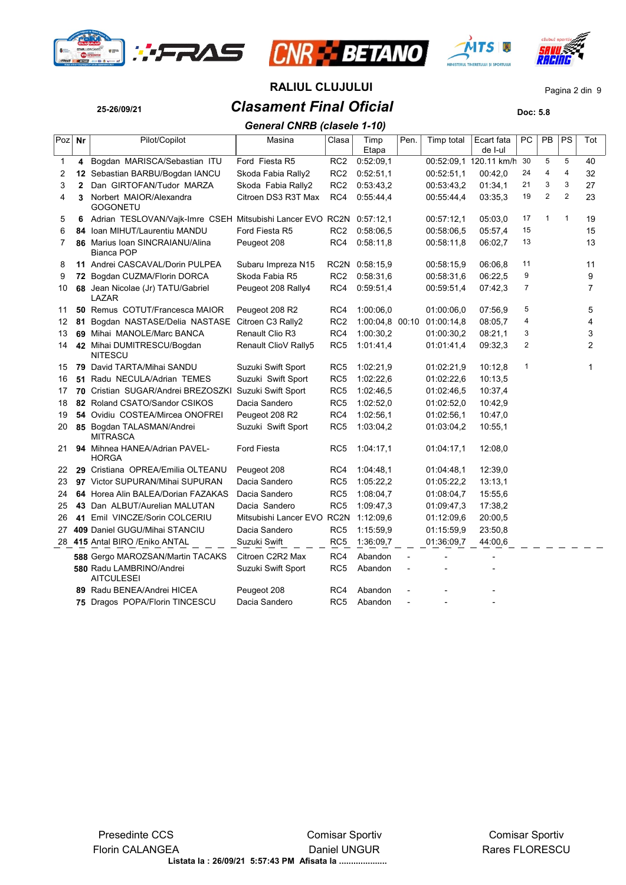







**25-26/09/21** *Clasament Final Oficial* **Doc: 5.8 RALIUL CLUJULUI** Pagina 2 din 9

|     |    |                                                                     | <b>General CNRB (clasele 1-10)</b> |                 |                 |      |            |                        |    |              |                |                |
|-----|----|---------------------------------------------------------------------|------------------------------------|-----------------|-----------------|------|------------|------------------------|----|--------------|----------------|----------------|
| Poz | Nr | Pilot/Copilot                                                       | Masina                             | Clasa           | Timp<br>Etapa   | Pen. | Timp total | Ecart fata<br>de I-ul  | PC | PB           | PS             | Tot            |
| 1   | 4  | Bogdan MARISCA/Sebastian ITU                                        | Ford Fiesta R5                     | RC <sub>2</sub> | 0.52:09,1       |      |            | 00:52:09,1 120.11 km/h | 30 | 5            | 5              | 40             |
| 2   |    | 12 Sebastian BARBU/Bogdan IANCU                                     | Skoda Fabia Rally2                 | RC <sub>2</sub> | 0.52:51.1       |      | 00:52:51.1 | 00:42,0                | 24 | 4            | 4              | 32             |
| 3   | 2  | Dan GIRTOFAN/Tudor MARZA                                            | Skoda Fabia Rally2                 | RC <sub>2</sub> | 0.53.43.2       |      | 00:53:43.2 | 01:34.1                | 21 | 3            | 3              | 27             |
| 4   | 3  | Norbert MAIOR/Alexandra<br>GOGONETU                                 | Citroen DS3 R3T Max                | RC4             | 0.55.44,4       |      | 00 55 44 4 | 03:35.3                | 19 | 2            | $\overline{2}$ | 23             |
| 5   | 6  | Adrian TESLOVAN/Vajk-Imre CSEH Mitsubishi Lancer EVO RC2N 0:57:12,1 |                                    |                 |                 |      | 00:57:12,1 | 05:03,0                | 17 | $\mathbf{1}$ | $\mathbf{1}$   | 19             |
| 6   |    | 84 Ioan MIHUT/Laurentiu MANDU                                       | Ford Fiesta R5                     | RC <sub>2</sub> | 0.58:06,5       |      | 00:58:06,5 | 05:57,4                | 15 |              |                | 15             |
| 7   |    | 86 Marius Ioan SINCRAIANU/Alina<br>Bianca POP                       | Peugeot 208                        | RC4             | 0:58:11,8       |      | 00:58:11,8 | 06:02,7                | 13 |              |                | 13             |
| 8   |    | 11 Andrei CASCAVAL/Dorin PULPEA                                     | Subaru Impreza N15                 | RC2N            | 0.58.15,9       |      | 00:58:15.9 | 06:06.8                | 11 |              |                | 11             |
| 9   |    | 72 Bogdan CUZMA/Florin DORCA                                        | Skoda Fabia R5                     | RC <sub>2</sub> | 0.58:31.6       |      | 00:58:31,6 | 06:22,5                | 9  |              |                | 9              |
| 10  |    | 68 Jean Nicolae (Jr) TATU/Gabriel<br>LAZAR                          | Peugeot 208 Rally4                 | RC4             | 0.59.51,4       |      | 00:59:51,4 | 07:42.3                | 7  |              |                | 7              |
| 11  |    | 50 Remus COTUT/Francesca MAIOR                                      | Peugeot 208 R2                     | RC4             | 1:00:06.0       |      | 01:00:06.0 | 07:56.9                | 5  |              |                | 5              |
| 12  | 81 | Bogdan NASTASE/Delia NASTASE                                        | Citroen C3 Rally2                  | RC <sub>2</sub> | 1:00:04.8 00:10 |      | 01:00:14.8 | 08:05,7                | 4  |              |                | 4              |
| 13  |    | 69 Mihai MANOLE/Marc BANCA                                          | Renault Clio R3                    | RC4             | 1:00:30,2       |      | 01:00:30,2 | 08:21,1                | 3  |              |                | 3              |
| 14  |    | 42 Mihai DUMITRESCU/Bogdan<br><b>NITESCU</b>                        | Renault ClioV Rally5               | RC <sub>5</sub> | 1:01:41,4       |      | 01:01:41,4 | 09:32,3                | 2  |              |                | $\overline{2}$ |
| 15  |    | 79 David TARTA/Mihai SANDU                                          | Suzuki Swift Sport                 | RC <sub>5</sub> | 1:02:21,9       |      | 01:02:21,9 | 10:12.8                | 1  |              |                | 1              |
| 16  |    | 51 Radu NECULA/Adrian TEMES                                         | Suzuki Swift Sport                 | RC <sub>5</sub> | 1:02:22.6       |      | 01:02:22,6 | 10:13.5                |    |              |                |                |
| 17  |    | 70 Cristian SUGAR/Andrei BREZOSZKI                                  | Suzuki Swift Sport                 | RC <sub>5</sub> | 1:02:46.5       |      | 01:02:46,5 | 10:37,4                |    |              |                |                |
| 18  |    | 82 Roland CSATO/Sandor CSIKOS                                       | Dacia Sandero                      | RC <sub>5</sub> | 1:02:52,0       |      | 01:02:52,0 | 10:42,9                |    |              |                |                |
| 19  |    | 54 Ovidiu COSTEA/Mircea ONOFREI                                     | Peugeot 208 R2                     | RC4             | 1:02:56,1       |      | 01:02:56,1 | 10:47,0                |    |              |                |                |
| 20  |    | 85 Bogdan TALASMAN/Andrei<br><b>MITRASCA</b>                        | Suzuki Swift Sport                 | RC <sub>5</sub> | 1:03:04,2       |      | 01:03:04,2 | 10:55,1                |    |              |                |                |
| 21  |    | 94 Mihnea HANEA/Adrian PAVEL-<br><b>HORGA</b>                       | <b>Ford Fiesta</b>                 | RC <sub>5</sub> | 1:04:17,1       |      | 01:04:17,1 | 12:08.0                |    |              |                |                |
| 22  |    | 29 Cristiana OPREA/Emilia OLTEANU                                   | Peugeot 208                        | RC4             | 1:04:48,1       |      | 01:04:48,1 | 12:39,0                |    |              |                |                |
| 23  |    | 97 Victor SUPURAN/Mihai SUPURAN                                     | Dacia Sandero                      | RC <sub>5</sub> | 1:05:22,2       |      | 01:05:22,2 | 13:13.1                |    |              |                |                |
| 24  |    | 64 Horea Alin BALEA/Dorian FAZAKAS                                  | Dacia Sandero                      | RC <sub>5</sub> | 1:08:04.7       |      | 01.08.04,7 | 15:55.6                |    |              |                |                |
| 25  |    | 43 Dan ALBUT/Aurelian MALUTAN                                       | Dacia Sandero                      | RC <sub>5</sub> | 1:09:47,3       |      | 01.09:47,3 | 17:38,2                |    |              |                |                |
| 26  |    | 41 Emil VINCZE/Sorin COLCERIU                                       | Mitsubishi Lancer EVO RC2N         |                 | 1:12:09.6       |      | 01:12:09,6 | 20:00,5                |    |              |                |                |
| 27  |    | 409 Daniel GUGU/Mihai STANCIU                                       | Dacia Sandero                      | RC5             | 1:15:59,9       |      | 01:15:59,9 | 23:50,8                |    |              |                |                |
|     |    | 28 415 Antal BIRO / Eniko ANTAL                                     | Suzuki Swift                       | RC5             | 1:36:09,7       |      | 01:36:09,7 | 44:00,6                |    |              |                |                |
|     |    | <b>588 Gergo MAROZSAN/Martin TACAKS</b>                             | Citroen C2R2 Max                   | RC4             | Abandon         |      |            |                        |    |              |                |                |
|     |    | 580 Radu LAMBRINO/Andrei<br><b>AITCULESEI</b>                       | Suzuki Swift Sport                 | RC <sub>5</sub> | Abandon         |      |            |                        |    |              |                |                |
|     |    | 89 Radu BENEA/Andrei HICEA                                          | Peugeot 208                        | RC4             | Abandon         |      |            |                        |    |              |                |                |
|     |    | 75 Dragos POPA/Florin TINCESCU                                      | Dacia Sandero                      | RC <sub>5</sub> | Abandon         |      |            |                        |    |              |                |                |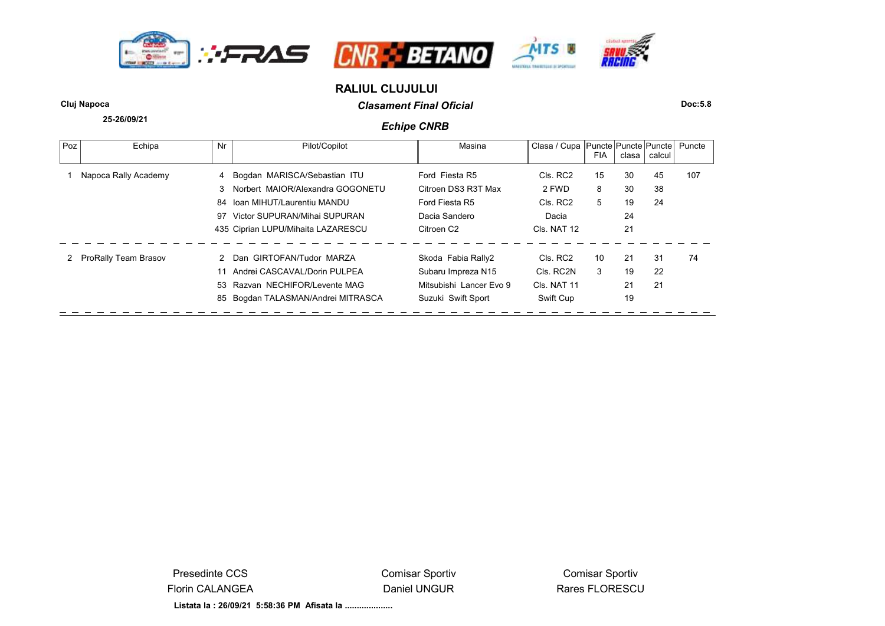





# **RALIUL CLUJULUI**

**25-26/09/21**

*Clasament Final Oficial* **Cluj Napoca Doc:5.8**

# *Echipe CNRB*

| Poz | Echipa               | Nr | Pilot/Copilot                      | Masina                  | Clasa / Cupa   Puncte   Puncte   Puncte | <b>FIA</b> | clasa ∣ | calcul | Puncte |
|-----|----------------------|----|------------------------------------|-------------------------|-----------------------------------------|------------|---------|--------|--------|
|     | Napoca Rally Academy |    | 4 Bogdan MARISCA/Sebastian ITU     | Ford Fiesta R5          | Cls. RC2                                | 15         | 30      | 45     | 107    |
|     |                      | 3  | Norbert MAIOR/Alexandra GOGONETU   | Citroen DS3 R3T Max     | 2 FWD                                   | 8          | 30      | 38     |        |
|     |                      | 84 | Ioan MIHUT/Laurentiu MANDU         | Ford Fiesta R5          | Cls. RC2                                | 5          | 19      | 24     |        |
|     |                      | 97 | Victor SUPURAN/Mihai SUPURAN       | Dacia Sandero           | Dacia                                   |            | 24      |        |        |
|     |                      |    | 435 Ciprian LUPU/Mihaita LAZARESCU | Citroen C <sub>2</sub>  | Cls. NAT 12                             |            | 21      |        |        |
|     | ProRally Team Brasov |    | 2 Dan GIRTOFAN/Tudor MARZA         | Skoda Fabia Rally2      | Cls. RC2                                | 10         | 21      | 31     | 74     |
|     |                      |    | Andrei CASCAVAL/Dorin PULPEA       | Subaru Impreza N15      | Cls. RC2N                               | 3          | 19      | 22     |        |
|     |                      |    | 53 Razvan NECHIFOR/Levente MAG     | Mitsubishi Lancer Evo 9 | CIs. NAT 11                             |            | 21      | 21     |        |
|     |                      | 85 | Bogdan TALASMAN/Andrei MITRASCA    | Suzuki Swift Sport      | Swift Cup                               |            | 19      |        |        |

Presedinte CCS Florin CALANGEA Comisar Sportiv Daniel UNGUR

Comisar Sportiv Rares FLORESCU

**Listata la : 26/09/21 5:58:36 PM Afisata la ....................**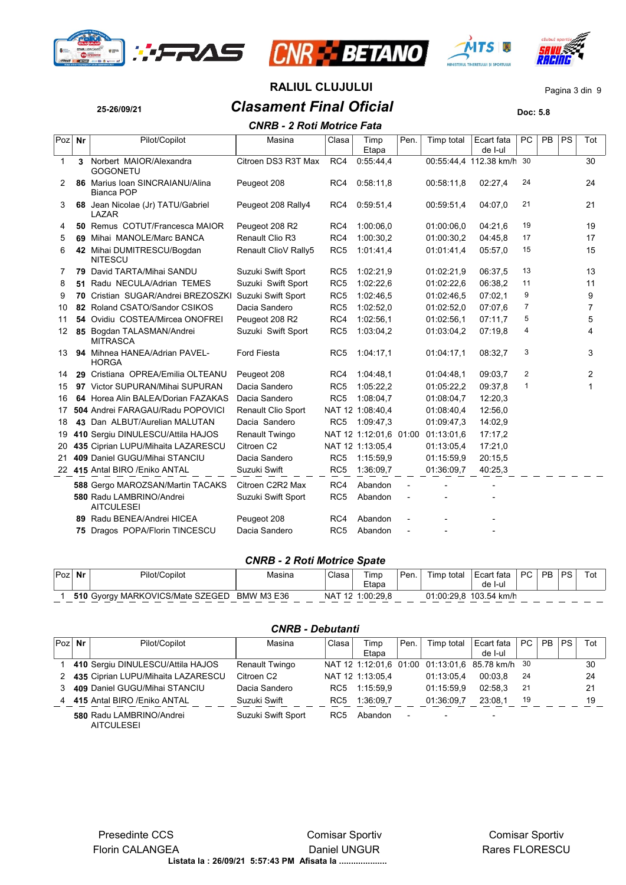







# **25-26/09/21** *Clasament Final Oficial* **Doc: 5.8 RALIUL CLUJULUI** Pagina 3 din 9 *CNRB - 2 Roti Motrice Fata*

|        | CNRB - 2 ROU MOUICE FAIA |                                                      |                      |                 |                        |                |            |                        |                |           |           |     |  |
|--------|--------------------------|------------------------------------------------------|----------------------|-----------------|------------------------|----------------|------------|------------------------|----------------|-----------|-----------|-----|--|
| Poz Nr |                          | Pilot/Copilot                                        | Masina               | Clasa           | Timp<br>Etapa          | Pen.           | Timp total | Ecart fata<br>de I-ul  | <b>PC</b>      | <b>PB</b> | <b>PS</b> | Tot |  |
| 1      | 3                        | Norbert MAIOR/Alexandra<br><b>GOGONETU</b>           | Citroen DS3 R3T Max  | RC4             | 0.55.44,4              |                |            | 00:55:44,4 112.38 km/h | 30             |           |           | 30  |  |
| 2      |                          | 86 Marius Ioan SINCRAIANU/Alina<br><b>Bianca POP</b> | Peugeot 208          | RC4             | 0:58:11,8              |                | 00:58:11.8 | 02:27,4                | 24             |           |           | 24  |  |
| 3      |                          | 68 Jean Nicolae (Jr) TATU/Gabriel<br>LAZAR           | Peugeot 208 Rally4   | RC4             | 0:59:51.4              |                | 00:59:51.4 | 04:07.0                | 21             |           |           | 21  |  |
| 4      |                          | 50 Remus COTUT/Francesca MAIOR                       | Peugeot 208 R2       | RC4             | 1:00:06.0              |                | 01:00:06.0 | 04:21.6                | 19             |           |           | 19  |  |
| 5      | 69                       | Mihai MANOLE/Marc BANCA                              | Renault Clio R3      | RC4             | 1:00:30.2              |                | 01:00:30,2 | 04:45.8                | 17             |           |           | 17  |  |
| 6      |                          | 42 Mihai DUMITRESCU/Bogdan<br><b>NITESCU</b>         | Renault ClioV Rally5 | RC <sub>5</sub> | 1:01:41.4              |                | 01:01:41,4 | 05:57,0                | 15             |           |           | 15  |  |
| 7      | 79                       | David TARTA/Mihai SANDU                              | Suzuki Swift Sport   | RC <sub>5</sub> | 1:02:21,9              |                | 01:02:21,9 | 06:37,5                | 13             |           |           | 13  |  |
| 8      | 51                       | Radu NECULA/Adrian TEMES                             | Suzuki Swift Sport   | RC <sub>5</sub> | 1:02:22.6              |                | 01:02:22.6 | 06:38.2                | 11             |           |           | 11  |  |
| 9      | 70                       | Cristian SUGAR/Andrei BREZOSZKI                      | Suzuki Swift Sport   | RC <sub>5</sub> | 1:02:46,5              |                | 01:02:46.5 | 07:02.1                | 9              |           |           | 9   |  |
| 10     | 82                       | Roland CSATO/Sandor CSIKOS                           | Dacia Sandero        | RC <sub>5</sub> | 1:02:52,0              |                | 01:02:52.0 | 07:07.6                | $\overline{7}$ |           |           | 7   |  |
| 11     |                          | 54 Ovidiu COSTEA/Mircea ONOFREI                      | Peugeot 208 R2       | RC4             | 1:02:56.1              |                | 01:02:56.1 | 07:11,7                | 5              |           |           | 5   |  |
| 12     |                          | 85 Bogdan TALASMAN/Andrei<br><b>MITRASCA</b>         | Suzuki Swift Sport   | RC <sub>5</sub> | 1:03:04,2              |                | 01:03:04,2 | 07:19.8                | 4              |           |           | 4   |  |
| 13     |                          | 94 Mihnea HANEA/Adrian PAVEL-<br><b>HORGA</b>        | <b>Ford Fiesta</b>   | RC <sub>5</sub> | 1.04.17,1              |                | 01:04:17.1 | 08:32,7                | 3              |           |           | 3   |  |
| 14     |                          | 29 Cristiana OPREA/Emilia OLTEANU                    | Peugeot 208          | RC4             | 1:04:48,1              |                | 01:04:48.1 | 09:03.7                | 2              |           |           | 2   |  |
| 15     |                          | 97 Victor SUPURAN/Mihai SUPURAN                      | Dacia Sandero        | RC <sub>5</sub> | 1:05:22,2              |                | 01:05:22,2 | 09:37.8                | $\mathbf{1}$   |           |           | 1   |  |
| 16     |                          | 64 Horea Alin BALEA/Dorian FAZAKAS                   | Dacia Sandero        | RC <sub>5</sub> | 1:08:04,7              |                | 01:08:04.7 | 12:20.3                |                |           |           |     |  |
| 17     |                          | 504 Andrei FARAGAU/Radu POPOVICI                     | Renault Clio Sport   |                 | NAT 12 1:08:40.4       |                | 01:08:40.4 | 12:56,0                |                |           |           |     |  |
| 18     |                          | 43 Dan ALBUT/Aurelian MALUTAN                        | Dacia Sandero        | RC <sub>5</sub> | 1:09:47,3              |                | 01:09:47.3 | 14:02.9                |                |           |           |     |  |
| 19     |                          | 410 Sergiu DINULESCU/Attila HAJOS                    | Renault Twingo       |                 | NAT 12 1:12:01.6 01:00 |                | 01:13:01.6 | 17:17,2                |                |           |           |     |  |
| 20     |                          | 435 Ciprian LUPU/Mihaita LAZARESCU                   | Citroen C2           |                 | NAT 12 1:13:05.4       |                | 01:13:05.4 | 17:21,0                |                |           |           |     |  |
| 21     |                          | 409 Daniel GUGU/Mihai STANCIU                        | Dacia Sandero        | RC <sub>5</sub> | 1:15:59.9              |                | 01:15:59.9 | 20:15.5                |                |           |           |     |  |
|        |                          | 22 415 Antal BIRO / Eniko ANTAL                      | Suzuki Swift         | RC <sub>5</sub> | 1:36:09,7              |                | 01:36:09.7 | 40.25,3                |                |           |           |     |  |
|        |                          | 588 Gergo MAROZSAN/Martin TACAKS                     | Citroen C2R2 Max     | RC4             | Abandon                |                |            |                        |                |           |           |     |  |
|        |                          | 580 Radu LAMBRINO/Andrei<br><b>AITCULESEI</b>        | Suzuki Swift Sport   | RC <sub>5</sub> | Abandon                | $\overline{a}$ |            |                        |                |           |           |     |  |
|        |                          | 89 Radu BENEA/Andrei HICEA                           | Peugeot 208          | RC4             | Abandon                |                |            |                        |                |           |           |     |  |
|        |                          | 75 Dragos POPA/Florin TINCESCU                       | Dacia Sandero        | RC <sub>5</sub> | Abandon                |                |            |                        |                |           |           |     |  |
|        |                          |                                                      |                      |                 |                        |                |            |                        |                |           |           |     |  |

#### *CNRB - 2 Roti Motrice Spate*

| 'Poz | Nr  | Pilot/Copilot                | Masina            | Clasa | Timp<br>Etapa | ' Pen. | Timp<br>total | Ecart fata<br>de I-ul | PC. | <b>PB</b> | DQ. | Tot |
|------|-----|------------------------------|-------------------|-------|---------------|--------|---------------|-----------------------|-----|-----------|-----|-----|
|      | 510 | Gvorgy MARKOVICS/Mate SZEGED | <b>BMW M3 E36</b> | NA.   | 1:00:29.8     |        | 01:00:29.8    | 103.54 km/h           |     |           |     |     |

| $Poz$ Nr | Pilot/Copilot                                 | Masina                 | Clasa           | Timp             | Pen.           | Timp total                                      | Ecart fata | PC  | <b>PB</b> | <b>PS</b> | Tot |
|----------|-----------------------------------------------|------------------------|-----------------|------------------|----------------|-------------------------------------------------|------------|-----|-----------|-----------|-----|
|          |                                               |                        |                 | Etapa            |                |                                                 | de I-ul    |     |           |           |     |
|          | 410 Sergiu DINULESCU/Attila HAJOS             | Renault Twingo         |                 |                  |                | NAT 12 1:12:01.6 01:00 01:13:01.6 85.78 km/h 30 |            |     |           |           | 30  |
| 2        | 435 Ciprian LUPU/Mihaita LAZARESCU            | Citroen C <sub>2</sub> |                 | NAT 12 1:13:05.4 |                | 01:13:05.4                                      | 00:03.8    | -24 |           |           | 24  |
|          | 409 Daniel GUGU/Mihai STANCIU                 | Dacia Sandero          | RC <sub>5</sub> | 1:15:59.9        |                | 01:15:59.9                                      | 02:58.3    | 21  |           |           | 21  |
| 4        | 415 Antal BIRO / Eniko ANTAL                  | Suzuki Swift           | RC <sub>5</sub> | 1:36:09.7        |                | 01:36:09.7                                      | 23:08.1    | 19  |           |           | 19  |
|          | 580 Radu LAMBRINO/Andrei<br><b>AITCULESEI</b> | Suzuki Swift Sport     | RC <sub>5</sub> | Abandon          | $\blacksquare$ | $\overline{\phantom{0}}$                        |            |     |           |           |     |

## *CNRB - Debutanti*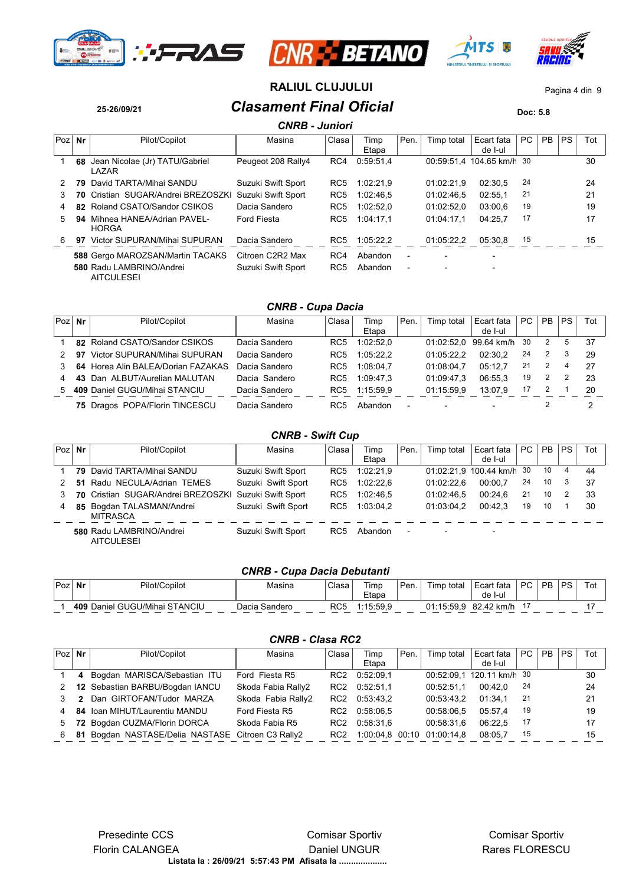







# **RALIUL CLUJULUI** Pagina 4 din 9

**25-26/09/21** *Clasament Final Oficial* **Doc: 5.8**

|     | <b>CNRB - Juniori</b> |                                               |                    |                 |               |                          |            |                           |     |           |           |     |  |  |
|-----|-----------------------|-----------------------------------------------|--------------------|-----------------|---------------|--------------------------|------------|---------------------------|-----|-----------|-----------|-----|--|--|
| Poz | Nr                    | Pilot/Copilot                                 | Masina             | Clasa           | Timp<br>Etapa | Pen.                     | Timp total | Ecart fata<br>de I-ul     | PC. | <b>PB</b> | <b>PS</b> | Tot |  |  |
|     | 68                    | Jean Nicolae (Jr) TATU/Gabriel<br>LAZAR       | Peugeot 208 Rally4 | RC4             | 0:59:51.4     |                          |            | 00:59:51.4 104.65 km/h 30 |     |           |           | 30  |  |  |
| 2   | 79                    | David TARTA/Mihai SANDU                       | Suzuki Swift Sport | RC <sub>5</sub> | 1:02:21.9     |                          | 01:02:21.9 | 02:30.5                   | 24  |           |           | 24  |  |  |
| 3   |                       | 70 Cristian SUGAR/Andrei BREZOSZKI            | Suzuki Swift Sport | RC <sub>5</sub> | 1:02:46.5     |                          | 01:02:46.5 | 02:55.1                   | 21  |           |           | 21  |  |  |
| 4   |                       | 82 Roland CSATO/Sandor CSIKOS                 | Dacia Sandero      | RC <sub>5</sub> | 1:02:52.0     |                          | 01:02:52.0 | 03:00.6                   | 19  |           |           | 19  |  |  |
| 5.  | 94                    | Mihnea HANEA/Adrian PAVEL-<br><b>HORGA</b>    | <b>Ford Fiesta</b> | RC <sub>5</sub> | 1:04:17.1     |                          | 01:04:17.1 | 04:25.7                   | 17  |           |           | 17  |  |  |
| 6   | 97                    | Victor SUPURAN/Mihai SUPURAN                  | Dacia Sandero      | RC5             | 1:05:22.2     |                          | 01:05:22.2 | 05:30.8                   | 15  |           |           | 15  |  |  |
|     |                       | 588 Gergo MAROZSAN/Martin TACAKS              | Citroen C2R2 Max   | RC4             | Abandon       | $\overline{\phantom{a}}$ |            |                           |     |           |           |     |  |  |
|     |                       | 580 Radu LAMBRINO/Andrei<br><b>AITCULESEI</b> | Suzuki Swift Sport | RC <sub>5</sub> | Abandon       | $\overline{\phantom{a}}$ |            |                           |     |           |           |     |  |  |

# *CNRB - Cupa Dacia*

| Poz | Nr | Pilot/Copilot                      | Masina        | Clasa           | Timp<br>Etapa | Pen.                     | Timp total | Ecart fata<br>de I-ul | PC. | <b>PB</b> | <b>PS</b> | Tot |
|-----|----|------------------------------------|---------------|-----------------|---------------|--------------------------|------------|-----------------------|-----|-----------|-----------|-----|
|     |    | 82 Roland CSATO/Sandor CSIKOS      | Dacia Sandero | RC <sub>5</sub> | 1:02:52.0     |                          |            | 01:02:52.0 99.64 km/h | 30  | 2         | 5         | 37  |
|     | 97 | Victor SUPURAN/Mihai SUPURAN       | Dacia Sandero | RC <sub>5</sub> | 1:05:22.2     |                          | 01:05:22.2 | 02:30.2               | 24  | 2         | 3         | 29  |
|     |    | 64 Horea Alin BALEA/Dorian FAZAKAS | Dacia Sandero | RC <sub>5</sub> | 1:08:04.7     |                          | 01:08:04.7 | 05:12.7               | 21  |           |           | -27 |
|     |    | 43 Dan ALBUT/Aurelian MALUTAN      | Dacia Sandero | RC <sub>5</sub> | 1:09:47.3     |                          | 01:09:47.3 | 06:55.3               | 19  |           |           | 23  |
| .5  |    | 409 Daniel GUGU/Mihai STANCIU      | Dacia Sandero | RC <sub>5</sub> | 1:15:59.9     |                          | 01:15:59.9 | 13:07.9               | 17  |           |           | 20  |
|     |    | 75 Dragos POPA/Florin TINCESCU     | Dacia Sandero | RC5             | Abandon       | $\overline{\phantom{a}}$ |            |                       |     |           |           |     |

## *CNRB - Swift Cup*

| Poz | Nr | Pilot/Copilot                                 | Masina             | Clasa           | Timp      | Pen. | Timp total               | Ecart fata                | PC | <b>PB</b> | <b>PS</b> | Tot |
|-----|----|-----------------------------------------------|--------------------|-----------------|-----------|------|--------------------------|---------------------------|----|-----------|-----------|-----|
|     |    |                                               |                    |                 | Etapa     |      |                          | de I-ul                   |    |           |           |     |
|     |    | 79 David TARTA/Mihai SANDU                    | Suzuki Swift Sport | RC <sub>5</sub> | 1:02:21.9 |      |                          | 01:02:21.9 100.44 km/h 30 |    | 10        | 4         | 44  |
|     | 51 | Radu NECULA/Adrian TEMES                      | Suzuki Swift Sport | RC <sub>5</sub> | 1:02:22.6 |      | 01:02:22.6               | 00:00.7                   | 24 | 10        | 3         | 37  |
|     |    | 70 Cristian SUGAR/Andrei BREZOSZKI            | Suzuki Swift Sport | RC <sub>5</sub> | 1:02:46.5 |      | 01:02:46.5               | 00:24.6                   | 21 | 10        |           | 33  |
| 4   |    | 85 Bogdan TALASMAN/Andrei<br><b>MITRASCA</b>  | Suzuki Swift Sport | RC <sub>5</sub> | 1:03:04.2 |      | 01:03:04.2               | 00:42.3                   | 19 | 10        |           | 30  |
|     |    | 580 Radu LAMBRINO/Andrei<br><b>AITCULESEI</b> | Suzuki Swift Sport | RC <sub>5</sub> | Abandon   | ٠    | $\overline{\phantom{0}}$ | $\overline{\phantom{a}}$  |    |           |           |     |

# *CNRB - Cupa Dacia Debutanti*

| Poz | Nr | Pilot/Copilot                 | Masina        | Clasa | Timp      | Pen. | Timp total | Ecart fata    | <b>PC</b> | PR. | DQ. | Tot |
|-----|----|-------------------------------|---------------|-------|-----------|------|------------|---------------|-----------|-----|-----|-----|
|     |    |                               |               |       | Etapa     |      |            | -l-ul<br>de I |           |     |     |     |
|     |    | 409 Daniel GUGU/Mihai STANCIU | Dacia Sandero | RC5   | 1 15 59 9 |      | 01.15.59.9 | 82.42 km/h    |           |     |     |     |

### *CNRB - Clasa RC2*

| $Poz$ Nr |   | Pilot/Copilot                                     | Masina             | Clasa           | Timp<br>Etapa | Pen. | Timp total                 | Ecart fata<br>de I-ul     | PC  | <b>PB</b> | PS. | Tot |
|----------|---|---------------------------------------------------|--------------------|-----------------|---------------|------|----------------------------|---------------------------|-----|-----------|-----|-----|
|          | 4 | Bogdan MARISCA/Sebastian ITU                      | Ford Fiesta R5     | RC <sub>2</sub> | 0.52.09.1     |      |                            | 00:52:09.1 120.11 km/h 30 |     |           |     | 30  |
|          |   | 12 Sebastian BARBU/Bogdan IANCU                   | Skoda Fabia Rally2 | RC2             | 0:52:51.1     |      | 00:52:51.1                 | 00:42.0                   | -24 |           |     | 24  |
|          | 2 | Dan GIRTOFAN/Tudor MARZA                          | Skoda Fabia Rally2 | RC <sub>2</sub> | 0:53:43.2     |      | 00:53:43.2                 | 01:34.1                   | -21 |           |     | 21  |
| 4        |   | 84 Ioan MIHUT/Laurentiu MANDU                     | Ford Fiesta R5     | RC <sub>2</sub> | 0:58:06.5     |      | 00:58:06.5                 | 05:57.4                   | 19  |           |     | 19  |
| 5        |   | 72 Bogdan CUZMA/Florin DORCA                      | Skoda Fabia R5     | RC <sub>2</sub> | 0:58:31.6     |      | 00:58:31.6                 | 06:22.5                   | 17  |           |     | 17  |
| 6        |   | 81 Bogdan NASTASE/Delia NASTASE Citroen C3 Rally2 |                    | RC2             |               |      | 1:00:04.8 00:10 01:00:14.8 | 08:05.7                   | 15  |           |     | 15  |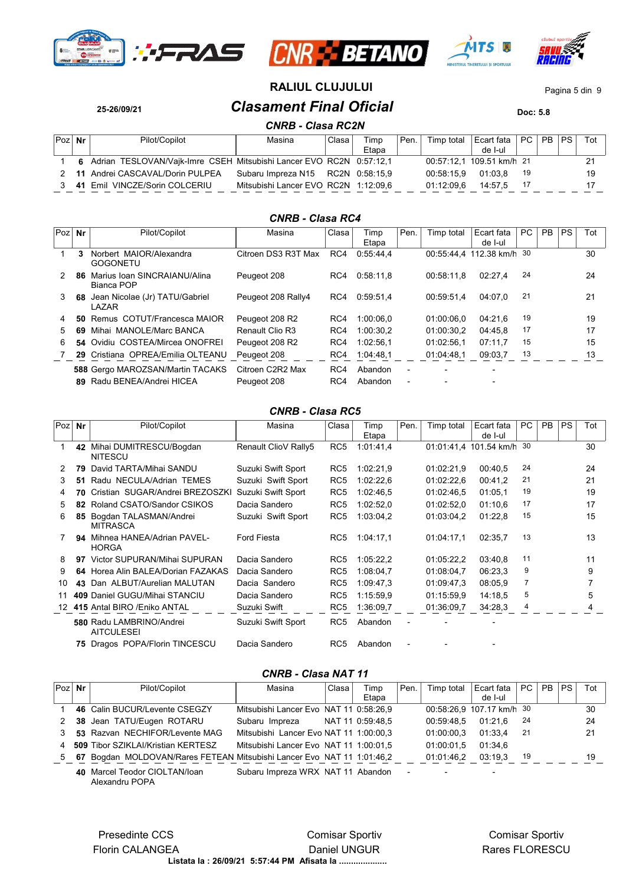







**RALIUL CLUJULUI** Pagina 5 din 9

**25-26/09/21** *Clasament Final Oficial* **Doc: 5.8** *CNRB - Clasa RC2N*

|        | <b>UNND - URSA NULIV</b> |                                                                       |                                      |       |               |      |            |                                                    |     |  |  |     |  |  |
|--------|--------------------------|-----------------------------------------------------------------------|--------------------------------------|-------|---------------|------|------------|----------------------------------------------------|-----|--|--|-----|--|--|
| Poz Nr |                          | Pilot/Copilot                                                         | Masina                               | Clasa | Timp<br>Etapa | Pen. | Timp total | $ $ Ecart fata $ $ PC $ $ PB $ $ PS $ $<br>de I-ul |     |  |  | Tot |  |  |
|        |                          | 6 Adrian TESLOVAN/Vajk-Imre CSEH Mitsubishi Lancer EVO RC2N 0:57:12.1 |                                      |       |               |      |            | 00:57:12.1 109.51 km/h 21                          |     |  |  |     |  |  |
|        |                          | 2 11 Andrei CASCAVAL/Dorin PULPEA                                     | Subaru Impreza N15 RC2N 0.58:15,9    |       |               |      | 00:58:15.9 | 01:03.8                                            | -19 |  |  | 19  |  |  |
|        |                          | 41 Emil VINCZE/Sorin COLCERIU                                         | Mitsubishi Lancer EVO RC2N 1:12:09,6 |       |               |      | 01:12:09.6 | 14:57.5                                            |     |  |  |     |  |  |

#### *CNRB - Clasa RC4*

| 30<br>24<br>21 |
|----------------|
|                |
|                |
|                |
| 19             |
| 17             |
| 15             |
| 13             |
|                |
|                |
|                |

#### *CNRB - Clasa RC5*

| $Poz$ Nr |    | Pilot/Copilot                                 | Masina               | Clasa           | Timp<br>Etapa | Pen. | Timp total | Ecart fata<br>de I-ul     | PC | <b>PB</b> | <b>PS</b> | Tot |  |
|----------|----|-----------------------------------------------|----------------------|-----------------|---------------|------|------------|---------------------------|----|-----------|-----------|-----|--|
|          | 42 | Mihai DUMITRESCU/Bogdan<br><b>NITESCU</b>     | Renault ClioV Rally5 | RC <sub>5</sub> | 1:01:41.4     |      |            | 01:01:41.4 101.54 km/h 30 |    |           |           | 30  |  |
| 2        | 79 | David TARTA/Mihai SANDU                       | Suzuki Swift Sport   | RC <sub>5</sub> | 1:02:21.9     |      | 01:02:21,9 | 00:40,5                   | 24 |           |           | 24  |  |
| 3        | 51 | Radu NECULA/Adrian TEMES                      | Suzuki Swift Sport   | RC <sub>5</sub> | 1.02:22.6     |      | 01:02:22.6 | 00:41,2                   | 21 |           |           | 21  |  |
| 4        | 70 | Cristian SUGAR/Andrei BREZOSZKI               | Suzuki Swift Sport   | RC <sub>5</sub> | 1:02:46.5     |      | 01:02:46.5 | 01:05.1                   | 19 |           |           | 19  |  |
| 5.       | 82 | Roland CSATO/Sandor CSIKOS                    | Dacia Sandero        | RC <sub>5</sub> | 1:02:52,0     |      | 01:02:52.0 | 01:10.6                   | 17 |           |           | 17  |  |
| 6        | 85 | Bogdan TALASMAN/Andrei<br><b>MITRASCA</b>     | Suzuki Swift Sport   | RC <sub>5</sub> | 1:03:04.2     |      | 01:03:04.2 | 01:22,8                   | 15 |           |           | 15  |  |
|          | 94 | Mihnea HANEA/Adrian PAVEL-<br><b>HORGA</b>    | <b>Ford Fiesta</b>   | RC <sub>5</sub> | 1.04.17,1     |      | 01:04:17.1 | 02:35.7                   | 13 |           |           | 13  |  |
| 8        | 97 | Victor SUPURAN/Mihai SUPURAN                  | Dacia Sandero        | RC <sub>5</sub> | 1.05:22.2     |      | 01:05:22.2 | 03:40.8                   | 11 |           |           | 11  |  |
| 9        |    | 64 Horea Alin BALEA/Dorian FAZAKAS            | Dacia Sandero        | RC <sub>5</sub> | 1:08:04.7     |      | 01:08:04.7 | 06:23.3                   | 9  |           |           | 9   |  |
| 10       | 43 | Dan ALBUT/Aurelian MALUTAN                    | Dacia Sandero        | RC <sub>5</sub> | 1:09:47.3     |      | 01:09:47.3 | 08:05.9                   | 7  |           |           |     |  |
| 11       |    | 409 Daniel GUGU/Mihai STANCIU                 | Dacia Sandero        | RC <sub>5</sub> | 1:15:59.9     |      | 01:15:59.9 | 14:18.5                   | 5  |           |           | 5   |  |
|          |    | 12 415 Antal BIRO / Eniko ANTAL               | Suzuki Swift         | RC <sub>5</sub> | 1:36:09,7     |      | 01:36:09.7 | 34:28.3                   | 4  |           |           | 4   |  |
|          |    | 580 Radu LAMBRINO/Andrei<br><b>AITCULESEI</b> | Suzuki Swift Sport   | RC <sub>5</sub> | Abandon       |      |            |                           |    |           |           |     |  |
|          | 75 | Dragos POPA/Florin TINCESCU                   | Dacia Sandero        | RC <sub>5</sub> | Abandon       |      |            |                           |    |           |           |     |  |

### *CNRB - Clasa NAT 11*

| $Poz$ Nr | Pilot/Copilot                                                          | Masina                                  | Clasa | Timp             | Pen.   | Timp total               | Ecart fata                | PC.  | <b>PB</b> | <b>PS</b> | Tot |  |
|----------|------------------------------------------------------------------------|-----------------------------------------|-------|------------------|--------|--------------------------|---------------------------|------|-----------|-----------|-----|--|
|          |                                                                        |                                         |       | Etapa            |        |                          | de I-ul                   |      |           |           |     |  |
|          | 46 Calin BUCUR/Levente CSEGZY                                          | Mitsubishi Lancer Evo NAT 11 0:58:26,9  |       |                  |        |                          | 00:58:26,9 107.17 km/h 30 |      |           |           | 30  |  |
| 2        | 38 Jean TATU/Eugen ROTARU                                              | Subaru Impreza                          |       | NAT 11_0:59:48.5 |        | 00:59:48.5               | 01:21.6                   | - 24 |           |           | 24  |  |
|          | 53 Razvan NECHIFOR/Levente MAG                                         | Mitsubishi, Lancer Evo NAT 11 1:00:00.3 |       |                  |        | 01:00:00.3               | 01:33.4                   | -21  |           |           | 21  |  |
| 4        | 509 Tibor SZIKLAI/Kristian KERTESZ                                     | Mitsubishi Lancer Evo NAT 11 1:00:01.5  |       |                  |        | 01:00:01.5               | 01:34.6                   |      |           |           |     |  |
| 5        | 67 Bogdan MOLDOVAN/Rares FETEAN Mitsubishi Lancer Evo NAT 11 1:01:46.2 |                                         |       |                  |        | 01:01:46.2               | 03:19.3                   | 19   |           |           | 19  |  |
|          | 40 Marcel Teodor CIOLTAN/loan                                          | Subaru Impreza WRX NAT 11 Abandon       |       |                  | $\sim$ | $\overline{\phantom{a}}$ |                           |      |           |           |     |  |

**40** Marcel Teodor CIOLTAN/Ioan Alexandru POPA

> **Listata la : 26/09/21 5:57:44 PM Afisata la ....................** Presedinte CCS Florin CALANGEA Comisar Sportiv Daniel UNGUR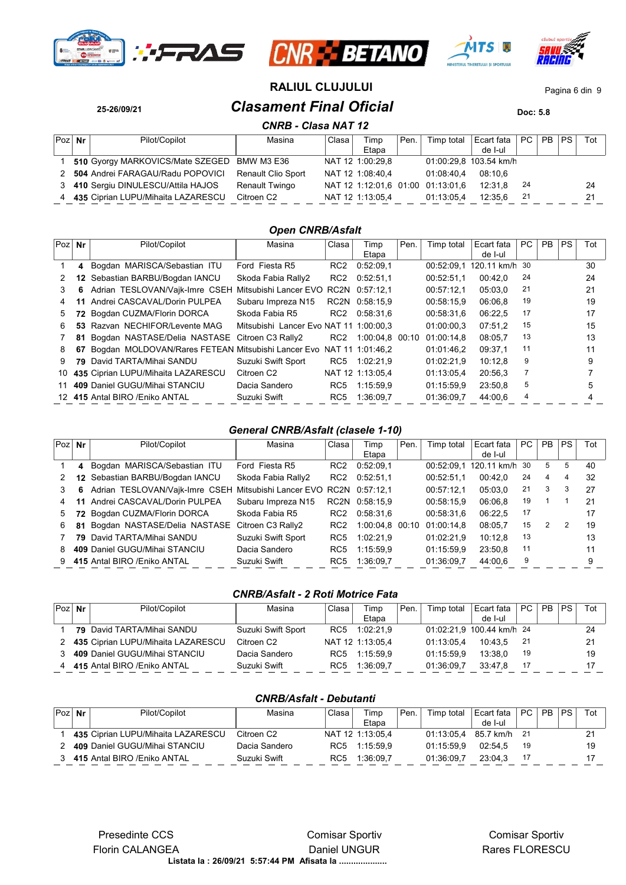







# **25-26/09/21** *Clasament Final Oficial* **Doc: 5.8 RALIUL CLUJULUI** Pagina 6 din 9

|          | <b>CNRB - Clasa NAT 12</b> |                                    |                           |       |                  |      |                                   |                        |      |           |           |     |  |  |
|----------|----------------------------|------------------------------------|---------------------------|-------|------------------|------|-----------------------------------|------------------------|------|-----------|-----------|-----|--|--|
| $Poz$ Nr |                            | Pilot/Copilot                      | Masina                    | Clasa | Timp             | Pen. | Timp total                        | Ecart fata             | PC   | <b>PB</b> | <b>PS</b> | Tot |  |  |
|          |                            |                                    |                           |       | Etapa            |      |                                   | de I-ul                |      |           |           |     |  |  |
|          |                            | 510 Gyorgy MARKOVICS/Mate SZEGED   | BMW M3 E36                |       | NAT 12 1:00:29.8 |      |                                   | 01:00:29.8 103.54 km/h |      |           |           |     |  |  |
| 2        |                            | 504 Andrei FARAGAU/Radu POPOVICI   | <b>Renault Clio Sport</b> |       | NAT 12 1:08:40,4 |      | 01:08:40.4                        | 08:10.6                |      |           |           |     |  |  |
| 3        |                            | 410 Sergiu DINULESCU/Attila HAJOS  | Renault Twingo            |       |                  |      | NAT 12 1:12:01.6 01:00 01:13:01.6 | 12:31.8                | - 24 |           |           | 24  |  |  |
|          |                            | 435 Ciprian LUPU/Mihaita LAZARESCU | Citroen C2                |       | NAT 12 1:13:05,4 |      | 01:13:05.4                        | 12:35.6                | -21  |           |           | 21  |  |  |

#### *Open CNRB/Asfalt*

| Poz | Nr  | Pilot/Copilot                                      | Masina                                 | Clasa           | Timp             | Pen. | Timp total | Ecart fata     | PC | <b>PB</b> | <b>PS</b> | Tot |
|-----|-----|----------------------------------------------------|----------------------------------------|-----------------|------------------|------|------------|----------------|----|-----------|-----------|-----|
|     |     |                                                    |                                        |                 | Etapa            |      |            | de I-ul        |    |           |           |     |
|     |     | 4 Bogdan MARISCA/Sebastian ITU                     | Ford Fiesta R5                         | RC <sub>2</sub> | 0.52:09.1        |      | 00:52:09.1 | 120.11 km/h 30 |    |           |           | 30  |
| 2   | 12  | Sebastian BARBU/Bogdan IANCU                       | Skoda Fabia Rally2                     | RC <sub>2</sub> | 0.52:51.1        |      | 00:52:51.1 | 00:42.0        | 24 |           |           | 24  |
| 3   | 6.  | Adrian TESLOVAN/Vajk-Imre CSEH                     | Mitsubishi Lancer EVO                  | RC2N            | 0:57:12.1        |      | 00:57:12.1 | 05:03.0        | 21 |           |           | 21  |
|     |     | Andrei CASCAVAL/Dorin PULPEA                       | Subaru Impreza N15                     |                 | RC2N 0:58:15.9   |      | 00:58:15.9 | 06:06.8        | 19 |           |           | 19  |
| 5.  | 72  | Bogdan CUZMA/Florin DORCA                          | Skoda Fabia R5                         | RC <sub>2</sub> | 0.58.31.6        |      | 00:58:31.6 | 06:22.5        | 17 |           |           | 17  |
| 6.  |     | 53 Razvan NECHIFOR/Levente MAG                     | Mitsubishi Lancer Evo NAT 11 1:00:00.3 |                 |                  |      | 01:00:00.3 | 07:51.2        | 15 |           |           | 15  |
|     | 81  | Bogdan NASTASE/Delia NASTASE                       | Citroen C3 Rally2                      | RC <sub>2</sub> | 1:00:04.8 00:10  |      | 01:00:14.8 | 08:05.7        | 13 |           |           | 13  |
| 8   | 67  | Bogdan MOLDOVAN/Rares FETEAN Mitsubishi Lancer Evo |                                        |                 | NAT 11 1:01:46.2 |      | 01:01:46.2 | 09:37.1        | 11 |           |           | 11  |
| 9   | 79. | David TARTA/Mihai SANDU                            | Suzuki Swift Sport                     | RC5             | 1:02:21.9        |      | 01:02:21.9 | 10:12.8        | 9  |           |           | 9   |
| 10  |     | 435 Ciprian LUPU/Mihaita LAZARESCU                 | Citroen C <sub>2</sub>                 |                 | NAT 12 1:13:05.4 |      | 01:13:05.4 | 20:56.3        | 7  |           |           |     |
| 11  |     | 409 Daniel GUGU/Mihai STANCIU                      | Dacia Sandero                          | RC <sub>5</sub> | 1:15:59.9        |      | 01:15:59.9 | 23:50.8        | 5  |           |           | 5   |
|     |     | 12 415 Antal BIRO / Eniko ANTAL                    | Suzuki Swift                           | RC <sub>5</sub> | 1:36:09.7        |      | 01:36:09.7 | 44:00.6        | 4  |           |           | 4   |

#### *General CNRB/Asfalt (clasele 1-10)*

| Poz | Nr | Pilot/Copilot                                                       | Masina             | Clasa           | Timp            | Pen. | Timp total | Ecart fata  | PC | <b>PB</b> | PS. | Tot |
|-----|----|---------------------------------------------------------------------|--------------------|-----------------|-----------------|------|------------|-------------|----|-----------|-----|-----|
|     |    |                                                                     |                    |                 | Etapa           |      |            | de I-ul     |    |           |     |     |
|     | 4  | Bogdan MARISCA/Sebastian ITU                                        | Ford Fiesta R5     | RC <sub>2</sub> | 0.52:09.1       |      | 00:52:09.1 | 120.11 km/h | 30 | 5         | 5   | 40  |
|     |    | 12 Sebastian BARBU/Bogdan IANCU                                     | Skoda Fabia Rally2 | RC <sub>2</sub> | 0:52:51.1       |      | 00:52:51.1 | 00:42.0     | 24 | 4         | 4   | 32  |
| 3   | 6. | Adrian TESLOVAN/Vajk-Imre CSEH Mitsubishi Lancer EVO RC2N 0:57:12,1 |                    |                 |                 |      | 00:57:12.1 | 05:03.0     | 21 | 3         | 3   | 27  |
| 4   |    | Andrei CASCAVAL/Dorin PULPEA                                        | Subaru Impreza N15 |                 | RC2N 0:58:15.9  |      | 00:58:15.9 | 06:06.8     | 19 |           |     | 21  |
| 5   | 72 | Bogdan CUZMA/Florin DORCA                                           | Skoda Fabia R5     | RC <sub>2</sub> | 0:58:31.6       |      | 00:58:31.6 | 06:22.5     | 17 |           |     | 17  |
| 6   | 81 | Bogdan NASTASE/Delia NASTASE                                        | Citroen C3 Rally2  | RC <sub>2</sub> | 1:00:04.8 00:10 |      | 01:00:14.8 | 08:05.7     | 15 | 2         | 2   | 19  |
|     | 79 | David TARTA/Mihai SANDU                                             | Suzuki Swift Sport | RC <sub>5</sub> | 1:02:21.9       |      | 01:02:21.9 | 10:12.8     | 13 |           |     | 13  |
| 8   |    | 409 Daniel GUGU/Mihai STANCIU                                       | Dacia Sandero      | RC <sub>5</sub> | 1:15:59.9       |      | 01:15:59.9 | 23:50.8     | 11 |           |     |     |
| 9   |    | 415 Antal BIRO / Eniko ANTAL                                        | Suzuki Swift       | RC <sub>5</sub> | 1:36:09.7       |      | 01:36:09.7 | 44:00.6     | 9  |           |     | 9   |

### *CNRB/Asfalt - 2 Roti Motrice Fata*

| $Poz$ Nr | Pilot/Copilot                      | Masina                 | Clasa | Timp             | Pen. | Timp total | Ecart fata                | PC   | <b>PB</b> | PS. | Tot |
|----------|------------------------------------|------------------------|-------|------------------|------|------------|---------------------------|------|-----------|-----|-----|
|          |                                    |                        |       | Etapa            |      |            | de I-ul                   |      |           |     |     |
|          | <b>79</b> David TARTA/Mihai SANDU  | Suzuki Swift Sport     | RC5   | 1:02:21.9        |      |            | 01:02:21,9 100.44 km/h 24 |      |           |     | 24  |
| 2        | 435 Ciprian LUPU/Mihaita LAZARESCU | Citroen C <sub>2</sub> |       | NAT 12 1:13:05.4 |      | 01:13:05.4 | 10:43.5                   | - 21 |           |     | 21  |
|          | 409 Daniel GUGU/Mihai STANCIU      | Dacia Sandero          | RC5   | 1:15:59.9        |      | 01:15:59.9 | 13:38.0                   | 19   |           |     | 19  |
|          | 415 Antal BIRO / Eniko ANTAL       | Suzuki Swift           | RC5   | 1:36:09.7        |      | 01.36.09.7 | 33:47.8                   | 17   |           |     |     |

#### *CNRB/Asfalt - Debutanti*

| $Poz$ Nr | Pilot/Copilot                      | Masina                 | Clasa | Timp<br>Etapa    | ' Pen. | Timp total | Ecart fata<br>de I-ul | PC <sub>1</sub> | PB PS |  |
|----------|------------------------------------|------------------------|-------|------------------|--------|------------|-----------------------|-----------------|-------|--|
|          | 435 Ciprian LUPU/Mihaita LAZARESCU | Citroen C <sub>2</sub> |       | NAT 12 1:13:05.4 |        | 01:13:05.4 | 85.7 km/h 21          |                 |       |  |
|          | 409 Daniel GUGU/Mihai STANCIU      | Dacia Sandero          | RC5   | 1:15:59.9        |        | 01.15.59.9 | 02:54.5               | -19             |       |  |
|          | 415 Antal BIRO / Eniko ANTAL       | Suzuki Swift           | RC5   | 1:36:09.7        |        | 01:36:09.7 | 23:04.3               |                 |       |  |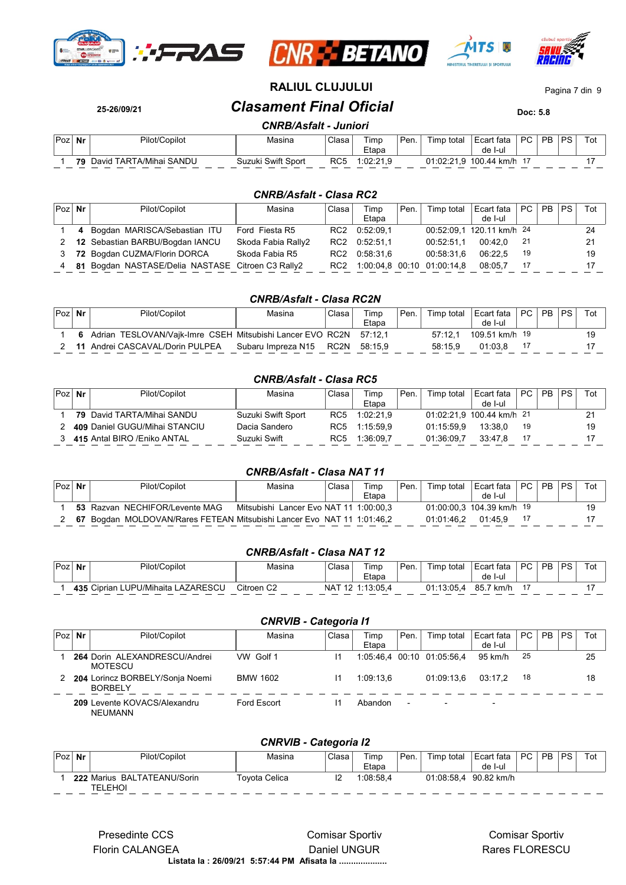







**RALIUL CLUJULUI** Pagina 7 din 9

**25-26/09/21** *Clasament Final Oficial* **Doc: 5.8**

# *CNRB/Asfalt - Juniori*

| Poz. | Nr | Pilot/Copilot           | Masina             | Clasa | Timp<br>Etapa          | Pen. | Timp<br>total | Ecart fata<br>de<br>-l-ul | <b>PC</b> | <b>PR</b> | PS | Tol |
|------|----|-------------------------|--------------------|-------|------------------------|------|---------------|---------------------------|-----------|-----------|----|-----|
|      | 79 | David TARTA/Mihai SANDU | Suzuki Swift Sport | RC5   | . იე ეკი<br>.UZ.Z<br>. |      | 21.02:21.     | 100.44 km/h               |           |           |    |     |

#### *CNRB/Asfalt - Clasa RC2*

| $Poz$ Nr | Pilot/Copilot                                     | Masina             | Clasa           | Timp      | ' Pen. | Timp total                 | Ecart fata                | PC  | PB | PS. | Tot |
|----------|---------------------------------------------------|--------------------|-----------------|-----------|--------|----------------------------|---------------------------|-----|----|-----|-----|
|          |                                                   |                    |                 | Etapa     |        |                            | de I-ul                   |     |    |     |     |
|          | 4 Bogdan MARISCA/Sebastian ITU                    | Ford Fiesta R5     | RC2             | 0.52:09.1 |        |                            | 00:52:09.1 120.11 km/h 24 |     |    |     | 24  |
| 2        | 12 Sebastian BARBU/Bogdan IANCU                   | Skoda Fabia Rally2 | RC2             | 0.52:51.1 |        | 00:52:51.1                 | 00:42.0                   | -21 |    |     | 21  |
| 3        | 72 Bogdan CUZMA/Florin DORCA                      | Skoda Fabia R5     | RC2             | 0.58.31.6 |        | 00:58:31.6                 | 06:22.5                   | 19  |    |     | 19  |
| 4        | 81 Bogdan NASTASE/Delia NASTASE Citroen C3 Rally2 |                    | RC <sub>2</sub> |           |        | 1:00:04.8 00:10 01:00:14.8 | 08:05.7                   | 17  |    |     |     |

#### *CNRB/Asfalt - Clasa RC2N*

| Poz | Nr | Pilot/Copilot                                                       | Masina             | Clasa | Timp<br>Etapa | Pen. | Timp total | Ecart fata<br>de I-ul | PC <sub>1</sub> | PB. | <b>PS</b> | Tot |
|-----|----|---------------------------------------------------------------------|--------------------|-------|---------------|------|------------|-----------------------|-----------------|-----|-----------|-----|
|     |    | 6 Adrian TESLOVAN/Vajk-Imre CSEH Mitsubishi Lancer EVO RC2N 57:12,1 |                    |       |               |      | 57.121     | 109.51 km/h 19        |                 |     |           |     |
|     |    | 11 Andrei CASCAVAL/Dorin PULPEA                                     | Subaru Impreza N15 | RC2N  | 58:15.9       |      | 58:15.9    | 01:03.8               |                 |     |           |     |

# *CNRB/Asfalt - Clasa RC5*

| Poz | Nr | Pilot/Copilot                     | Masina             | Clasa           | Timp      | Pen. | Timp total | Ecart fata                | $PC$ . | P <sub>B</sub> | PS. | Tot |
|-----|----|-----------------------------------|--------------------|-----------------|-----------|------|------------|---------------------------|--------|----------------|-----|-----|
|     |    |                                   |                    |                 | Etapa     |      |            | de I-ul                   |        |                |     |     |
|     |    | <b>79</b> David TARTA/Mihai SANDU | Suzuki Swift Sport | RC <sub>5</sub> | 1:02:21.9 |      |            | 01:02:21.9 100.44 km/h 21 |        |                |     |     |
|     |    | 409 Daniel GUGU/Mihai STANCIU     | Dacia Sandero      | RC5             | 1:15:59.9 |      | 01:15:59.9 | 13:38.0                   | 19     |                |     |     |
|     |    | 415 Antal BIRO / Eniko ANTAL      | Suzuki Swift       | RC5             | 1:36:09.7 |      | 01:36:09.7 | 33:47.8                   | 17     |                |     |     |

### *CNRB/Asfalt - Clasa NAT 11*

| $Poz$ Nr | Pilot/Copilot                                                          | Masina                                 | Clasa | Timp<br>Etapa | Pen. | Timp total | Ecart fata   PC   PB   PS  <br>de I-ul |  | $Tot$ $\vdash$ |
|----------|------------------------------------------------------------------------|----------------------------------------|-------|---------------|------|------------|----------------------------------------|--|----------------|
|          | 53 Razvan NECHIFOR/Levente MAG                                         | Mitsubishi Lancer Evo NAT 11 1:00:00.3 |       |               |      |            | 01:00:00.3 104.39 km/h 19              |  | 10             |
|          | 67 Bogdan MOLDOVAN/Rares FETEAN Mitsubishi Lancer Evo NAT 11 1:01:46,2 |                                        |       |               |      | 01:01:46.2 | 01:45.9                                |  |                |

#### *CNRB/Asfalt - Clasa NAT 12*

| $Poz_1$ | Nr | Pilot/Copilot                      | Masina                 | Clasa | Timp<br>Etapa | ' Pen. | Timp<br>⊧total | t fata<br>⊦Ecar*<br>de I-ul | PC. | <b>PB</b> | DS. | ⊺ot |
|---------|----|------------------------------------|------------------------|-------|---------------|--------|----------------|-----------------------------|-----|-----------|-----|-----|
|         |    | 435 Ciprian LUPU/Mihaita LAZARESCU | Citroen C <sub>2</sub> | NA7   | 12 1:13:05.4  |        | 01:13:05.4     | 85.7<br>km/h                |     |           |     |     |

### *CNRVIB - Categoria I1*

| Poz | Nr | Pilot/Copilot                                     | Masina          | Clasa | Timp<br>Etapa | Pen. | Timp total                 | Ecart fata<br>de I-ul    | PC  | <b>PB</b> | PS | Tot |
|-----|----|---------------------------------------------------|-----------------|-------|---------------|------|----------------------------|--------------------------|-----|-----------|----|-----|
|     |    | 264 Dorin ALEXANDRESCU/Andrei<br>MOTESCU          | VW Golf 1       |       |               |      | 1:05:46.4 00:10 01:05:56.4 | 95 km/h                  | -25 |           |    | 25  |
|     |    | 204 Lorincz BORBELY/Sonja Noemi<br><b>BORBELY</b> | <b>BMW 1602</b> | 11    | 1:09:13.6     |      | 01:09:13.6                 | 03:17.2                  | 18  |           |    | 18  |
|     |    | 209 Levente KOVACS/Alexandru<br>NEUMANN           | Ford Escort     |       | Abandon       |      |                            | $\overline{\phantom{0}}$ |     |           |    |     |

#### *CNRVIB - Categoria I2*

| Poz | Nr | Pilot/Copilot                          | Masina        | Clasa | Timp<br>Etapa | ' Pen. | Timp total | Ecart fata<br>de I-ul | PC. | <b>PB</b> | <b>PS</b> | Tot |
|-----|----|----------------------------------------|---------------|-------|---------------|--------|------------|-----------------------|-----|-----------|-----------|-----|
|     |    | 222 Marius BALTATEANU/Sorin<br>TELEHOI | Tovota Celica |       | 1:08:58.4     |        | 01:08:58.4 | 90.82 km/h            |     |           |           |     |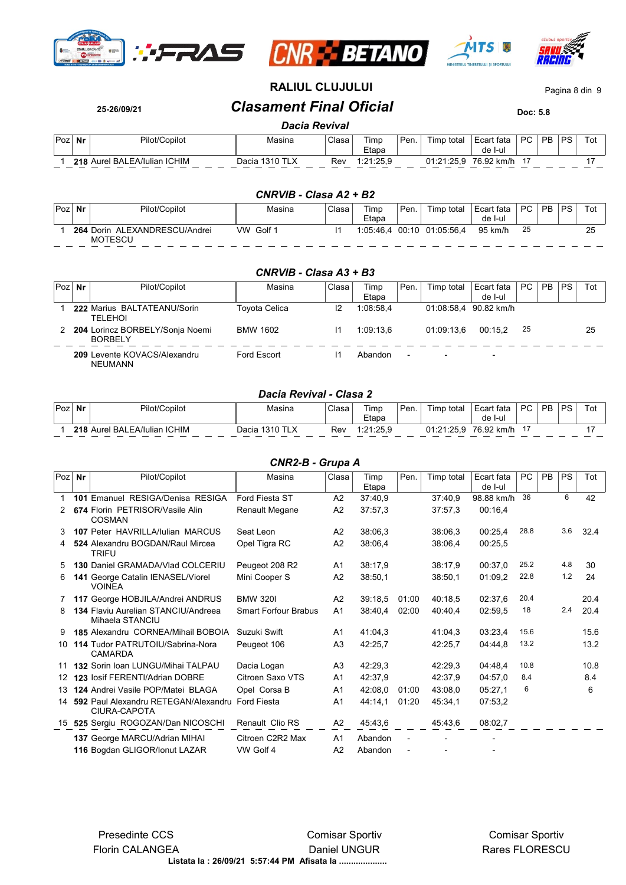







# **RALIUL CLUJULUI** Pagina 8 din 9

# **25-26/09/21** *Clasament Final Oficial* **Doc: 5.8**

#### *Dacia Revival*

| Poz | Nr | Pilot/Copilot                | Masina            | Clasa | Timp<br>$ \cdot$<br>Etapa | Pen. | Timp total | Ecart fata<br>de I-ul | DC.<br>ັ | PB | <b>PS</b> | ືບເ |
|-----|----|------------------------------|-------------------|-------|---------------------------|------|------------|-----------------------|----------|----|-----------|-----|
|     |    | 218 Aurel BALEA/Iulian ICHIM | 1310 TLX<br>Dacia | Rev   | 1:21:25.9                 |      | 01:21:25.9 | 76.92 k<br>: km/h     |          |    |           |     |

#### *CNRVIB - Clasa A2 + B2*

| Poz | Nr | Pilot/Copilot                                   | Masina       | Clasa | Timp<br>Etapa | ' Pen. | Timp total       | Ecart fata<br>de I-ul | PC. | <b>PB</b> | <b>PS</b> |    |
|-----|----|-------------------------------------------------|--------------|-------|---------------|--------|------------------|-----------------------|-----|-----------|-----------|----|
|     |    | 264 Dorin ALEXANDRESCU/Andrei<br><b>MOTESCU</b> | Golf 1<br>VW |       | 1.05.46.4     |        | 00:10 01:05:56.4 | 95 km/h               | 25  |           |           | 25 |

#### *CNRVIB - Clasa A3 + B3*

| Poz | Nr | Pilot/Copilot                                     | Masina          | Clasa | Timp      | Pen.                     | Timp total               | Ecart fata               | PC | <b>PB</b> | <b>PS</b> | Tot |  |
|-----|----|---------------------------------------------------|-----------------|-------|-----------|--------------------------|--------------------------|--------------------------|----|-----------|-----------|-----|--|
|     |    |                                                   |                 |       | Etapa     |                          |                          | de I-ul                  |    |           |           |     |  |
|     |    | 222 Marius BALTATEANU/Sorin<br><b>TELEHOI</b>     | Toyota Celica   | 12    | 1:08:58.4 |                          |                          | 01:08:58.4 90.82 km/h    |    |           |           |     |  |
|     |    | 204 Lorincz BORBELY/Sonja Noemi<br><b>BORBELY</b> | <b>BMW 1602</b> | 11    | 1.09.13.6 |                          | 01:09:13.6               | 00:15.2                  | 25 |           |           | 25  |  |
|     |    | 209 Levente KOVACS/Alexandru<br>NEUMANN           | Ford Escort     |       | Abandon   | $\overline{\phantom{a}}$ | $\overline{\phantom{0}}$ | $\overline{\phantom{0}}$ |    |           |           |     |  |

#### *Dacia Revival - Clasa 2*

| Poz | $\sim$ $\sim$<br>. Nr | Pilot/Copilot            | Masina                     | Clasa | $- \cdot$<br>Fimp<br>Etapa  | Pen. | Timp<br>total      | Ecart fata<br>: I-ul<br>de | DC. | D <sub>D</sub> | DC. | Tot |
|-----|-----------------------|--------------------------|----------------------------|-------|-----------------------------|------|--------------------|----------------------------|-----|----------------|-----|-----|
|     | 218                   | Aurel BALEA/Iulian ICHIM | 310<br><b>TLX</b><br>Dacia | Rev   | 1.21.25c<br>$-2$<br>ت. ب ۲۰ |      | 01:21:25.<br>ن.د.ب | 76.92<br>km/h              |     |                |     |     |

#### *CNR2-B - Grupa A*

| $Poz$ Nr        | Pilot/Copilot                                                  | Masina                        | Clasa          | Timp               | Pen.  | Timp total | Ecart fata | PC   | <b>PB</b> | <b>PS</b> | Tot  |
|-----------------|----------------------------------------------------------------|-------------------------------|----------------|--------------------|-------|------------|------------|------|-----------|-----------|------|
|                 |                                                                |                               |                | Etapa              |       |            | de I-ul    |      |           |           |      |
|                 | 101 Emanuel RESIGA/Denisa RESIGA                               | Ford Fiesta ST                | A2             | 37:40,9            |       | 37:40,9    | 98.88 km/h | 36   |           | 6         | 42   |
|                 | 674 Florin PETRISOR/Vasile Alin<br><b>COSMAN</b>               | Renault Megane                | A2             | 37:57,3            |       | 37:57.3    | 00:16,4    |      |           |           |      |
| 3               | 107 Peter HAVRILLA/lulian MARCUS                               | Seat Leon                     | A2             | 38:06.3            |       | 38:06.3    | 00:25,4    | 28.8 |           | 3.6       | 32.4 |
| 4               | 524 Alexandru BOGDAN/Raul Mircea<br><b>TRIFU</b>               | Opel Tigra RC                 | A2             | 38:06.4            |       | 38:06.4    | 00:25,5    |      |           |           |      |
| 5.              | <b>130 Daniel GRAMADA/Vlad COLCERIU</b>                        | Peugeot 208 R2                | A1             | 38:17,9            |       | 38:17,9    | 00:37,0    | 25.2 |           | 4.8       | 30   |
| 6               | 141 George Catalin IENASEL/Viorel<br><b>VOINEA</b>             | Mini Cooper S                 | A2             | 38:50,1            |       | 38:50,1    | 01:09.2    | 22.8 |           | 1.2       | 24   |
| 7               | 117 George HOBJILA/Andrei ANDRUS                               | <b>BMW 3201</b>               | A2             | 39:18.5            | 01:00 | 40:18.5    | 02:37,6    | 20.4 |           |           | 20.4 |
| 8               | 134 Flaviu Aurelian STANCIU/Andreea<br>Mihaela STANCIU         | <b>Smart Forfour Brabus</b>   | A1             | 38:40.4            | 02:00 | 40:40.4    | 02:59.5    | 18   |           | 2.4       | 20.4 |
| 9               | 185 Alexandru CORNEA/Mihail BOBOIA                             | Suzuki Swift                  | A1             | 41:04.3            |       | 41:04.3    | 03:23.4    | 15.6 |           |           | 15.6 |
| 10              | 114 Tudor PATRUTOIU/Sabrina-Nora<br>CAMARDA                    | Peugeot 106                   | A <sub>3</sub> | 42:25,7            |       | 42:25.7    | 04:44.8    | 13.2 |           |           | 13.2 |
| 11              | 132 Sorin Ioan LUNGU/Mihai TALPAU                              | Dacia Logan                   | A3             | 42:29.3            |       | 42:29.3    | 04:48.4    | 10.8 |           |           | 10.8 |
| 12 <sup>1</sup> | 123 Iosif FERENTI/Adrian DOBRE                                 | Citroen Saxo VTS              | A1             | 42:37,9            |       | 42:37.9    | 04:57.0    | 8.4  |           |           | 8.4  |
| 13              | 124 Andrei Vasile POP/Matei BLAGA                              | Opel Corsa B                  | A1             | 42:08.0            | 01:00 | 43:08.0    | 05:27,1    | 6    |           |           | 6    |
| 14              | 592 Paul Alexandru RETEGAN/Alexandru<br>CIURA-CAPOTA           | <b>Ford Fiesta</b>            | A <sub>1</sub> | 44:14,1            | 01:20 | 45:34,1    | 07:53,2    |      |           |           |      |
|                 | 15 525 Sergiu ROGOZAN/Dan NICOSCHI                             | Renault Clio RS               | A2             | 45:43,6            |       | 45.43.6    | 08:02.7    |      |           |           |      |
|                 | 137 George MARCU/Adrian MIHAI<br>116 Bogdan GLIGOR/Ionut LAZAR | Citroen C2R2 Max<br>VW Golf 4 | A1<br>A2       | Abandon<br>Abandon |       |            |            |      |           |           |      |